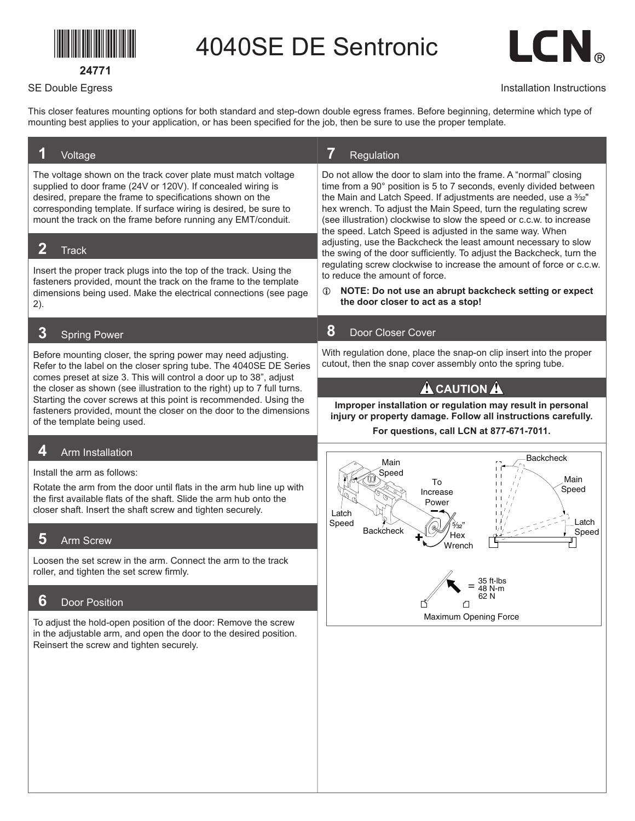## \*24771\*

**24771**

SE Double Egress

4040SE DE Sentronic



## Installation Instructions

This closer features mounting options for both standard and step-down double egress frames. Before beginning, determine which type of mounting best applies to your application, or has been specified for the job, then be sure to use the proper template.

| 7<br>Regulation                                                                                                                                                                                                                                                                                                                                                                                                   |
|-------------------------------------------------------------------------------------------------------------------------------------------------------------------------------------------------------------------------------------------------------------------------------------------------------------------------------------------------------------------------------------------------------------------|
| Do not allow the door to slam into the frame. A "normal" closing<br>time from a 90° position is 5 to 7 seconds, evenly divided between<br>the Main and Latch Speed. If adjustments are needed, use a 3/32"<br>hex wrench. To adjust the Main Speed, turn the regulating screw<br>(see illustration) clockwise to slow the speed or c.c.w. to increase<br>the speed. Latch Speed is adjusted in the same way. When |
| adjusting, use the Backcheck the least amount necessary to slow<br>the swing of the door sufficiently. To adjust the Backcheck, turn the                                                                                                                                                                                                                                                                          |
| regulating screw clockwise to increase the amount of force or c.c.w.<br>to reduce the amount of force.<br>NOTE: Do not use an abrupt backcheck setting or expect<br>$\mathbf{D}$<br>the door closer to act as a stop!                                                                                                                                                                                             |
| 8<br>Door Closer Cover                                                                                                                                                                                                                                                                                                                                                                                            |
| With regulation done, place the snap-on clip insert into the proper<br>cutout, then the snap cover assembly onto the spring tube.                                                                                                                                                                                                                                                                                 |
| <b>A</b> CAUTION A<br>Improper installation or regulation may result in personal<br>injury or property damage. Follow all instructions carefully.<br>For questions, call LCN at 877-671-7011.                                                                                                                                                                                                                     |
| Backcheck                                                                                                                                                                                                                                                                                                                                                                                                         |
| Main<br>Speed<br>Main<br>To<br>Speed<br>Increase<br>Power<br>Latch<br>Latch<br>Speed                                                                                                                                                                                                                                                                                                                              |
| <b>Backcheck</b><br>Speed<br>Hex<br>Wrench                                                                                                                                                                                                                                                                                                                                                                        |
|                                                                                                                                                                                                                                                                                                                                                                                                                   |
| ו ∠ס<br>↵                                                                                                                                                                                                                                                                                                                                                                                                         |
| Maximum Opening Force                                                                                                                                                                                                                                                                                                                                                                                             |
|                                                                                                                                                                                                                                                                                                                                                                                                                   |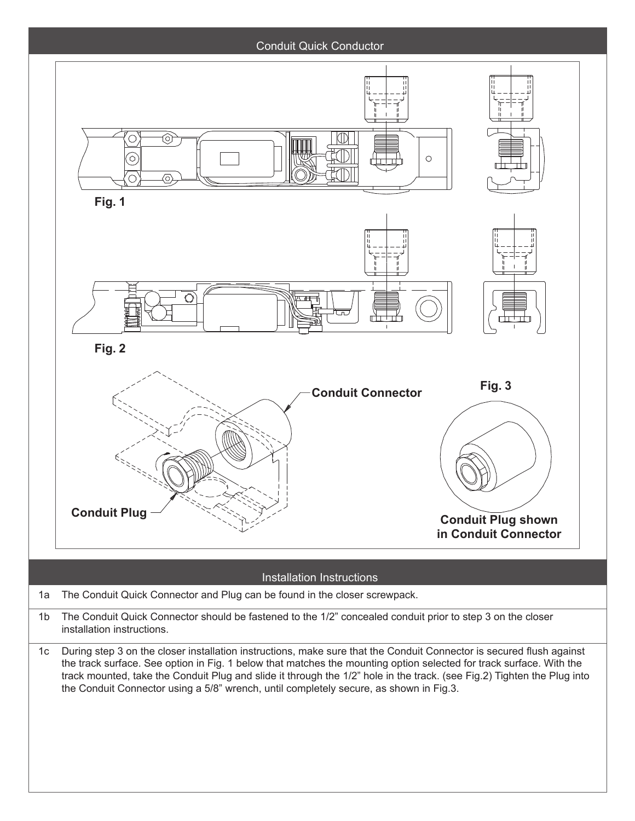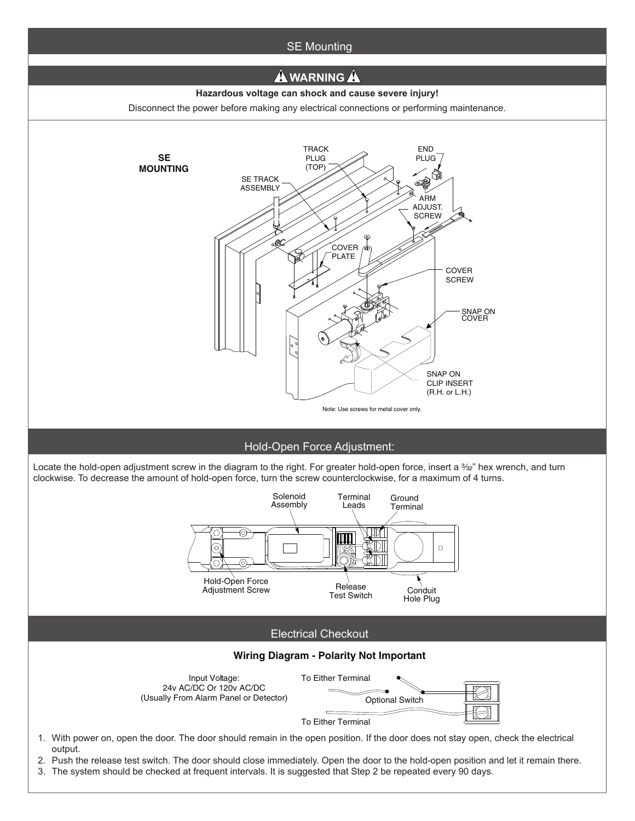

3. The system should be checked at frequent intervals. It is suggested that Step 2 be repeated every 90 days.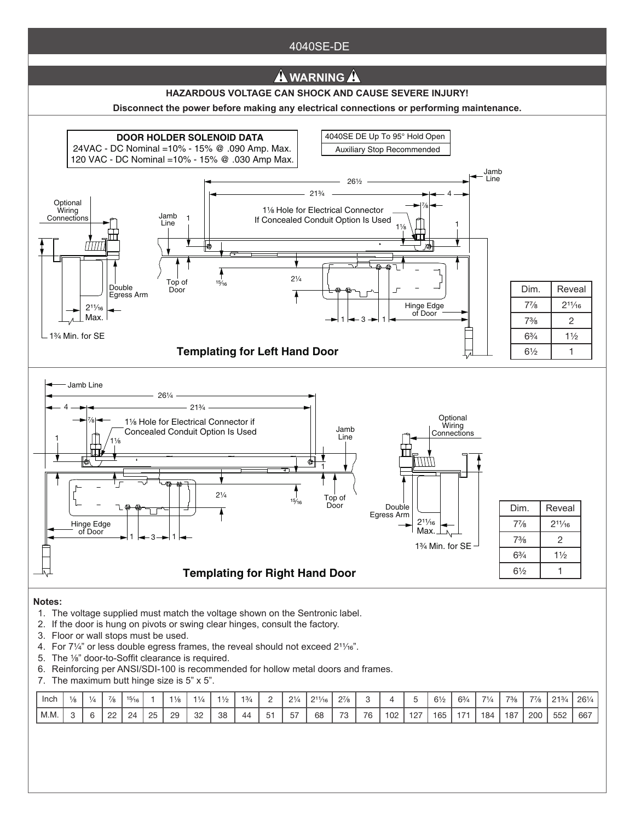## 4040SE-DE



- T. The voltage supplied must match the voltage shown on the Sentronic label.<br>2. If the door is hung on pivots or swing clear hinges, consult the factory. 1. The voltage supplied must match the voltage shown on the Sentronic label.
- 
- 3. Floor or wall stops must be used.
- 4. For  $7\frac{1}{4}$ " or less double egress frames, the reveal should not exceed  $2\frac{1}{16}$ ".
- 5. The 1/8" door-to-Soffit clearance is required.
- 6. Reinforcing per ANSI/SDI-100 is recommended for hollow metal doors and frames.
- 7. The maximum butt hinge size is 5" x 5".

| Inch                     | $\overline{\phantom{a}}$ | $1/\circ$<br>$^{\circ}$ | $\blacksquare$<br>15/4 |          |          | 1/4          | 11/2 | 13/4 | <u>_</u> | $\bigcap_{i=1}^n$ | $2^{11}/_{16}$       | $2^{7}/8$<br>-           |    |     |           | $6\frac{1}{2}$ | 63/4 | $-1$<br>$\frac{1}{4}$ | 73/2 | 77/8 | 213/4 | 261/4<br>⊆U // |
|--------------------------|--------------------------|-------------------------|------------------------|----------|----------|--------------|------|------|----------|-------------------|----------------------|--------------------------|----|-----|-----------|----------------|------|-----------------------|------|------|-------|----------------|
| $\mathbb{N}$<br>IVI.IVI. | ∼                        | nn<br><u>__</u>         | <u>_</u>               | OF<br>∠∪ | 20<br>Lυ | $\cap$<br>ےں | 38   | 44   | $-$<br>  | $-$<br>$\sim$     | 6 <sub>R</sub><br>UC | $\overline{\phantom{a}}$ | 76 | 102 | 407<br>12 | 165<br>ັບປ     | .    | 184                   | 187  | 200  | 552   | 667            |